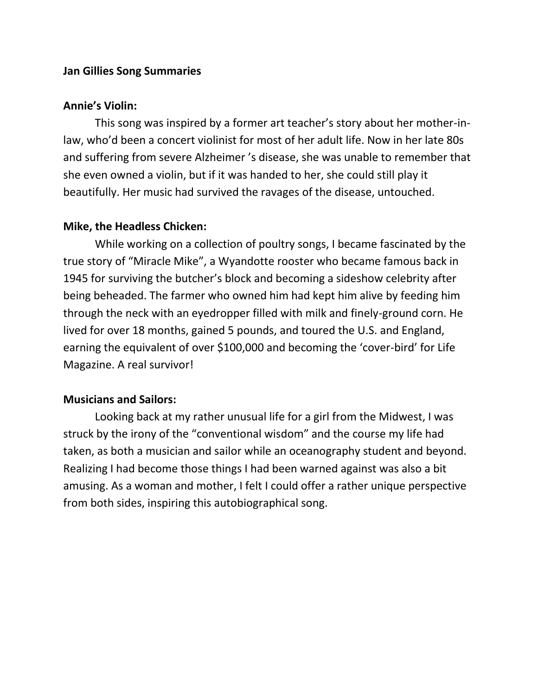### **Jan Gillies Song Summaries**

### **Annie's Violin:**

This song was inspired by a former art teacher's story about her mother-inlaw, who'd been a concert violinist for most of her adult life. Now in her late 80s and suffering from severe Alzheimer 's disease, she was unable to remember that she even owned a violin, but if it was handed to her, she could still play it beautifully. Her music had survived the ravages of the disease, untouched.

### **Mike, the Headless Chicken:**

While working on a collection of poultry songs, I became fascinated by the true story of "Miracle Mike", a Wyandotte rooster who became famous back in 1945 for surviving the butcher's block and becoming a sideshow celebrity after being beheaded. The farmer who owned him had kept him alive by feeding him through the neck with an eyedropper filled with milk and finely-ground corn. He lived for over 18 months, gained 5 pounds, and toured the U.S. and England, earning the equivalent of over \$100,000 and becoming the 'cover-bird' for Life Magazine. A real survivor!

# **Musicians and Sailors:**

Looking back at my rather unusual life for a girl from the Midwest, I was struck by the irony of the "conventional wisdom" and the course my life had taken, as both a musician and sailor while an oceanography student and beyond. Realizing I had become those things I had been warned against was also a bit amusing. As a woman and mother, I felt I could offer a rather unique perspective from both sides, inspiring this autobiographical song.